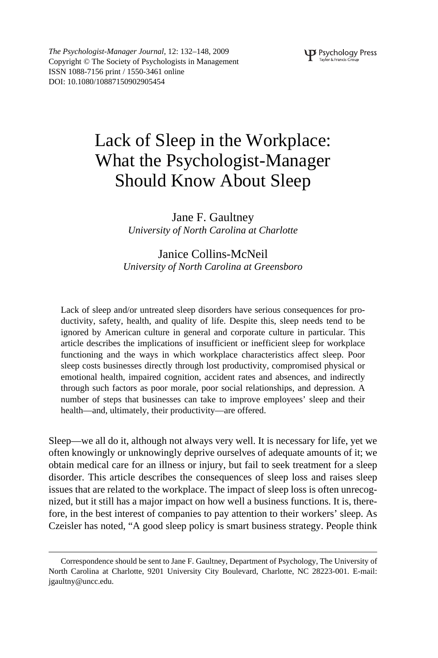*The Psychologist-Manager Journal*, 12: 132–148, 2009 Copyright © The Society of Psychologists in Management ISSN 1088-7156 print / 1550-3461 online DOI: 10.1080/10887150902905454

# Lack of Sleep in the Workplace: What the Psychologist-Manager Should Know About Sleep

Jane F. Gaultney *University of North Carolina at Charlotte*

# Janice Collins-McNeil *University of North Carolina at Greensboro*

Lack of sleep and/or untreated sleep disorders have serious consequences for productivity, safety, health, and quality of life. Despite this, sleep needs tend to be ignored by American culture in general and corporate culture in particular. This article describes the implications of insufficient or inefficient sleep for workplace functioning and the ways in which workplace characteristics affect sleep. Poor sleep costs businesses directly through lost productivity, compromised physical or emotional health, impaired cognition, accident rates and absences, and indirectly through such factors as poor morale, poor social relationships, and depression. A number of steps that businesses can take to improve employees' sleep and their health—and, ultimately, their productivity—are offered.

Sleep—we all do it, although not always very well. It is necessary for life, yet we often knowingly or unknowingly deprive ourselves of adequate amounts of it; we obtain medical care for an illness or injury, but fail to seek treatment for a sleep disorder. This article describes the consequences of sleep loss and raises sleep issues that are related to the workplace. The impact of sleep loss is often unrecognized, but it still has a major impact on how well a business functions. It is, therefore, in the best interest of companies to pay attention to their workers' sleep. As Czeisler has noted, "A good sleep policy is smart business strategy. People think

Correspondence should be sent to Jane F. Gaultney, Department of Psychology, The University of North Carolina at Charlotte, 9201 University City Boulevard, Charlotte, NC 28223-001. E-mail: jgaultny@uncc.edu.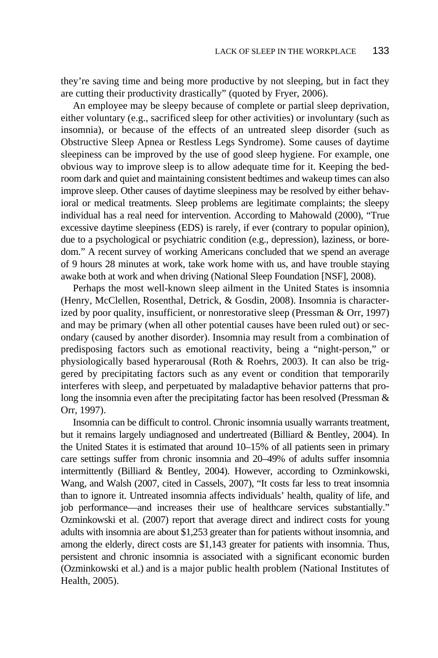they're saving time and being more productive by not sleeping, but in fact they are cutting their productivity drastically" (quoted by Fryer, 2006).

An employee may be sleepy because of complete or partial sleep deprivation, either voluntary (e.g., sacrificed sleep for other activities) or involuntary (such as insomnia), or because of the effects of an untreated sleep disorder (such as Obstructive Sleep Apnea or Restless Legs Syndrome). Some causes of daytime sleepiness can be improved by the use of good sleep hygiene. For example, one obvious way to improve sleep is to allow adequate time for it. Keeping the bedroom dark and quiet and maintaining consistent bedtimes and wakeup times can also improve sleep. Other causes of daytime sleepiness may be resolved by either behavioral or medical treatments. Sleep problems are legitimate complaints; the sleepy individual has a real need for intervention. According to Mahowald (2000), "True excessive daytime sleepiness (EDS) is rarely, if ever (contrary to popular opinion), due to a psychological or psychiatric condition (e.g., depression), laziness, or boredom." A recent survey of working Americans concluded that we spend an average of 9 hours 28 minutes at work, take work home with us, and have trouble staying awake both at work and when driving (National Sleep Foundation [NSF], 2008).

Perhaps the most well-known sleep ailment in the United States is insomnia (Henry, McClellen, Rosenthal, Detrick, & Gosdin, 2008). Insomnia is characterized by poor quality, insufficient, or nonrestorative sleep (Pressman & Orr, 1997) and may be primary (when all other potential causes have been ruled out) or secondary (caused by another disorder). Insomnia may result from a combination of predisposing factors such as emotional reactivity, being a "night-person," or physiologically based hyperarousal (Roth & Roehrs, 2003). It can also be triggered by precipitating factors such as any event or condition that temporarily interferes with sleep, and perpetuated by maladaptive behavior patterns that prolong the insomnia even after the precipitating factor has been resolved (Pressman & Orr, 1997).

Insomnia can be difficult to control. Chronic insomnia usually warrants treatment, but it remains largely undiagnosed and undertreated (Billiard & Bentley, 2004). In the United States it is estimated that around 10–15% of all patients seen in primary care settings suffer from chronic insomnia and 20–49% of adults suffer insomnia intermittently (Billiard & Bentley, 2004). However, according to Ozminkowski, Wang, and Walsh (2007, cited in Cassels, 2007), "It costs far less to treat insomnia than to ignore it. Untreated insomnia affects individuals' health, quality of life, and job performance—and increases their use of healthcare services substantially." Ozminkowski et al. (2007) report that average direct and indirect costs for young adults with insomnia are about \$1,253 greater than for patients without insomnia, and among the elderly, direct costs are \$1,143 greater for patients with insomnia. Thus, persistent and chronic insomnia is associated with a significant economic burden (Ozminkowski et al.) and is a major public health problem (National Institutes of Health, 2005).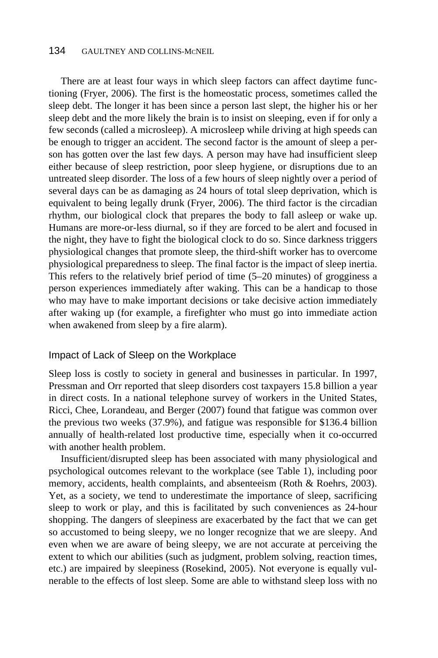# 134 GAULTNEY AND COLLINS-MCNEIL

There are at least four ways in which sleep factors can affect daytime functioning (Fryer, 2006). The first is the homeostatic process, sometimes called the sleep debt. The longer it has been since a person last slept, the higher his or her sleep debt and the more likely the brain is to insist on sleeping, even if for only a few seconds (called a microsleep). A microsleep while driving at high speeds can be enough to trigger an accident. The second factor is the amount of sleep a person has gotten over the last few days. A person may have had insufficient sleep either because of sleep restriction, poor sleep hygiene, or disruptions due to an untreated sleep disorder. The loss of a few hours of sleep nightly over a period of several days can be as damaging as 24 hours of total sleep deprivation, which is equivalent to being legally drunk (Fryer, 2006). The third factor is the circadian rhythm, our biological clock that prepares the body to fall asleep or wake up. Humans are more-or-less diurnal, so if they are forced to be alert and focused in the night, they have to fight the biological clock to do so. Since darkness triggers physiological changes that promote sleep, the third-shift worker has to overcome physiological preparedness to sleep. The final factor is the impact of sleep inertia. This refers to the relatively brief period of time (5–20 minutes) of grogginess a person experiences immediately after waking. This can be a handicap to those who may have to make important decisions or take decisive action immediately after waking up (for example, a firefighter who must go into immediate action when awakened from sleep by a fire alarm).

#### Impact of Lack of Sleep on the Workplace

Sleep loss is costly to society in general and businesses in particular. In 1997, Pressman and Orr reported that sleep disorders cost taxpayers 15.8 billion a year in direct costs. In a national telephone survey of workers in the United States, Ricci, Chee, Lorandeau, and Berger (2007) found that fatigue was common over the previous two weeks (37.9%), and fatigue was responsible for \$136.4 billion annually of health-related lost productive time, especially when it co-occurred with another health problem.

Insufficient/disrupted sleep has been associated with many physiological and psychological outcomes relevant to the workplace (see Table 1), including poor memory, accidents, health complaints, and absenteeism (Roth & Roehrs, 2003). Yet, as a society, we tend to underestimate the importance of sleep, sacrificing sleep to work or play, and this is facilitated by such conveniences as 24-hour shopping. The dangers of sleepiness are exacerbated by the fact that we can get so accustomed to being sleepy, we no longer recognize that we are sleepy. And even when we are aware of being sleepy, we are not accurate at perceiving the extent to which our abilities (such as judgment, problem solving, reaction times, etc.) are impaired by sleepiness (Rosekind, 2005). Not everyone is equally vulnerable to the effects of lost sleep. Some are able to withstand sleep loss with no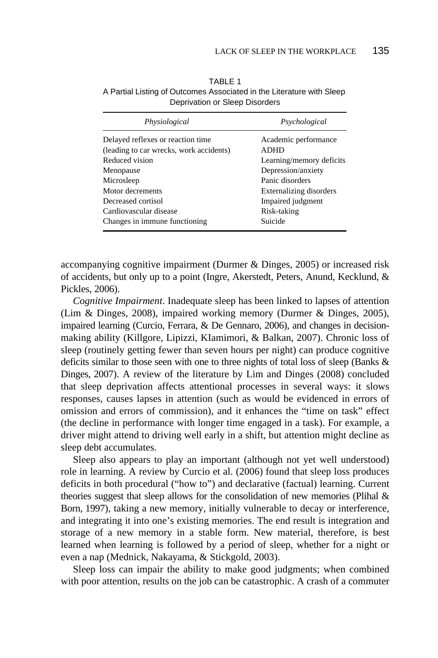| Physiological                           | Psychological                  |
|-----------------------------------------|--------------------------------|
| Delayed reflexes or reaction time       | Academic performance           |
| (leading to car wrecks, work accidents) | ADHD                           |
| Reduced vision                          | Learning/memory deficits       |
| Menopause                               | Depression/anxiety             |
| Microsleep                              | Panic disorders                |
| Motor decrements                        | <b>Externalizing disorders</b> |
| Decreased cortisol                      | Impaired judgment              |
| Cardiovascular disease                  | Risk-taking                    |
| Changes in immune functioning           | Suicide                        |

TABLE 1 A Partial Listing of Outcomes Associated in the Literature with Sleep Deprivation or Sleep Disorders

accompanying cognitive impairment (Durmer & Dinges, 2005) or increased risk of accidents, but only up to a point (Ingre, Akerstedt, Peters, Anund, Kecklund, & Pickles, 2006).

*Cognitive Impairment*. Inadequate sleep has been linked to lapses of attention (Lim & Dinges, 2008), impaired working memory (Durmer & Dinges, 2005), impaired learning (Curcio, Ferrara, & De Gennaro, 2006), and changes in decisionmaking ability (Killgore, Lipizzi, KIamimori, & Balkan, 2007). Chronic loss of sleep (routinely getting fewer than seven hours per night) can produce cognitive deficits similar to those seen with one to three nights of total loss of sleep (Banks & Dinges, 2007). A review of the literature by Lim and Dinges (2008) concluded that sleep deprivation affects attentional processes in several ways: it slows responses, causes lapses in attention (such as would be evidenced in errors of omission and errors of commission), and it enhances the "time on task" effect (the decline in performance with longer time engaged in a task). For example, a driver might attend to driving well early in a shift, but attention might decline as sleep debt accumulates.

Sleep also appears to play an important (although not yet well understood) role in learning. A review by Curcio et al. (2006) found that sleep loss produces deficits in both procedural ("how to") and declarative (factual) learning. Current theories suggest that sleep allows for the consolidation of new memories (Plihal & Born, 1997), taking a new memory, initially vulnerable to decay or interference, and integrating it into one's existing memories. The end result is integration and storage of a new memory in a stable form. New material, therefore, is best learned when learning is followed by a period of sleep, whether for a night or even a nap (Mednick, Nakayama, & Stickgold, 2003).

Sleep loss can impair the ability to make good judgments; when combined with poor attention, results on the job can be catastrophic. A crash of a commuter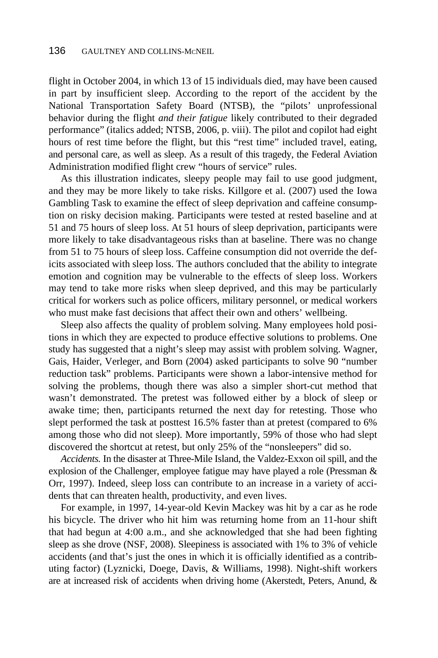flight in October 2004, in which 13 of 15 individuals died, may have been caused in part by insufficient sleep. According to the report of the accident by the National Transportation Safety Board (NTSB), the "pilots' unprofessional behavior during the flight *and their fatigue* likely contributed to their degraded performance" (italics added; NTSB, 2006, p. viii). The pilot and copilot had eight hours of rest time before the flight, but this "rest time" included travel, eating, and personal care, as well as sleep. As a result of this tragedy, the Federal Aviation Administration modified flight crew "hours of service" rules.

As this illustration indicates, sleepy people may fail to use good judgment, and they may be more likely to take risks. Killgore et al. (2007) used the Iowa Gambling Task to examine the effect of sleep deprivation and caffeine consumption on risky decision making. Participants were tested at rested baseline and at 51 and 75 hours of sleep loss. At 51 hours of sleep deprivation, participants were more likely to take disadvantageous risks than at baseline. There was no change from 51 to 75 hours of sleep loss. Caffeine consumption did not override the deficits associated with sleep loss. The authors concluded that the ability to integrate emotion and cognition may be vulnerable to the effects of sleep loss. Workers may tend to take more risks when sleep deprived, and this may be particularly critical for workers such as police officers, military personnel, or medical workers who must make fast decisions that affect their own and others' wellbeing.

Sleep also affects the quality of problem solving. Many employees hold positions in which they are expected to produce effective solutions to problems. One study has suggested that a night's sleep may assist with problem solving. Wagner, Gais, Haider, Verleger, and Born (2004) asked participants to solve 90 "number reduction task" problems. Participants were shown a labor-intensive method for solving the problems, though there was also a simpler short-cut method that wasn't demonstrated. The pretest was followed either by a block of sleep or awake time; then, participants returned the next day for retesting. Those who slept performed the task at posttest 16.5% faster than at pretest (compared to 6% among those who did not sleep). More importantly, 59% of those who had slept discovered the shortcut at retest, but only 25% of the "nonsleepers" did so.

*Accidents.* In the disaster at Three-Mile Island, the Valdez-Exxon oil spill, and the explosion of the Challenger, employee fatigue may have played a role (Pressman & Orr, 1997). Indeed, sleep loss can contribute to an increase in a variety of accidents that can threaten health, productivity, and even lives.

For example, in 1997, 14-year-old Kevin Mackey was hit by a car as he rode his bicycle. The driver who hit him was returning home from an 11-hour shift that had begun at 4:00 a.m., and she acknowledged that she had been fighting sleep as she drove (NSF, 2008). Sleepiness is associated with 1% to 3% of vehicle accidents (and that's just the ones in which it is officially identified as a contributing factor) (Lyznicki, Doege, Davis, & Williams, 1998). Night-shift workers are at increased risk of accidents when driving home (Akerstedt, Peters, Anund, &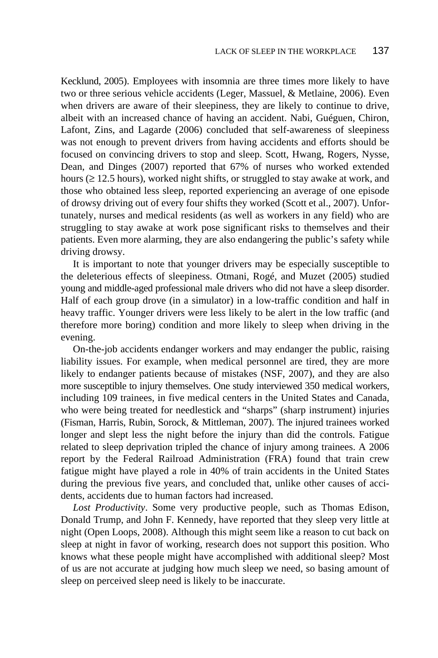Kecklund, 2005). Employees with insomnia are three times more likely to have two or three serious vehicle accidents (Leger, Massuel, & Metlaine, 2006). Even when drivers are aware of their sleepiness, they are likely to continue to drive, albeit with an increased chance of having an accident. Nabi, Guéguen, Chiron, Lafont, Zins, and Lagarde (2006) concluded that self-awareness of sleepiness was not enough to prevent drivers from having accidents and efforts should be focused on convincing drivers to stop and sleep. Scott, Hwang, Rogers, Nysse, Dean, and Dinges (2007) reported that 67% of nurses who worked extended hours (≥ 12.5 hours), worked night shifts, or struggled to stay awake at work, and those who obtained less sleep, reported experiencing an average of one episode of drowsy driving out of every four shifts they worked (Scott et al., 2007). Unfortunately, nurses and medical residents (as well as workers in any field) who are struggling to stay awake at work pose significant risks to themselves and their patients. Even more alarming, they are also endangering the public's safety while driving drowsy.

It is important to note that younger drivers may be especially susceptible to the deleterious effects of sleepiness. Otmani, Rogé, and Muzet (2005) studied young and middle-aged professional male drivers who did not have a sleep disorder. Half of each group drove (in a simulator) in a low-traffic condition and half in heavy traffic. Younger drivers were less likely to be alert in the low traffic (and therefore more boring) condition and more likely to sleep when driving in the evening.

On-the-job accidents endanger workers and may endanger the public, raising liability issues. For example, when medical personnel are tired, they are more likely to endanger patients because of mistakes (NSF, 2007), and they are also more susceptible to injury themselves. One study interviewed 350 medical workers, including 109 trainees, in five medical centers in the United States and Canada, who were being treated for needlestick and "sharps" (sharp instrument) injuries (Fisman, Harris, Rubin, Sorock, & Mittleman, 2007). The injured trainees worked longer and slept less the night before the injury than did the controls. Fatigue related to sleep deprivation tripled the chance of injury among trainees. A 2006 report by the Federal Railroad Administration (FRA) found that train crew fatigue might have played a role in 40% of train accidents in the United States during the previous five years, and concluded that, unlike other causes of accidents, accidents due to human factors had increased.

*Lost Productivity*. Some very productive people, such as Thomas Edison, Donald Trump, and John F. Kennedy, have reported that they sleep very little at night (Open Loops, 2008). Although this might seem like a reason to cut back on sleep at night in favor of working, research does not support this position. Who knows what these people might have accomplished with additional sleep? Most of us are not accurate at judging how much sleep we need, so basing amount of sleep on perceived sleep need is likely to be inaccurate.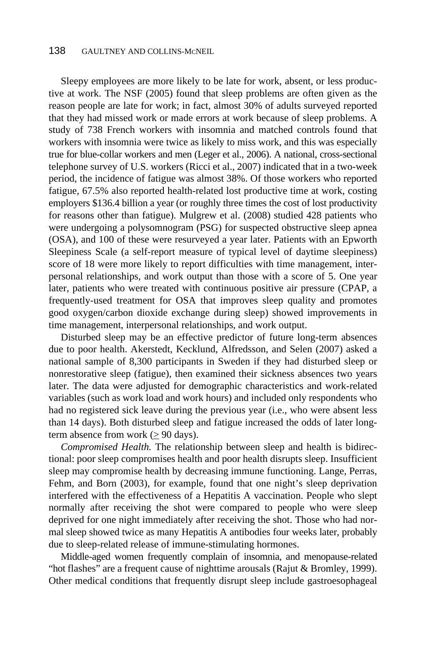Sleepy employees are more likely to be late for work, absent, or less productive at work. The NSF (2005) found that sleep problems are often given as the reason people are late for work; in fact, almost 30% of adults surveyed reported that they had missed work or made errors at work because of sleep problems. A study of 738 French workers with insomnia and matched controls found that workers with insomnia were twice as likely to miss work, and this was especially true for blue-collar workers and men (Leger et al., 2006). A national, cross-sectional telephone survey of U.S. workers (Ricci et al., 2007) indicated that in a two-week period, the incidence of fatigue was almost 38%. Of those workers who reported fatigue, 67.5% also reported health-related lost productive time at work, costing employers \$136.4 billion a year (or roughly three times the cost of lost productivity for reasons other than fatigue). Mulgrew et al. (2008) studied 428 patients who were undergoing a polysomnogram (PSG) for suspected obstructive sleep apnea (OSA), and 100 of these were resurveyed a year later. Patients with an Epworth Sleepiness Scale (a self-report measure of typical level of daytime sleepiness) score of 18 were more likely to report difficulties with time management, interpersonal relationships, and work output than those with a score of 5. One year later, patients who were treated with continuous positive air pressure (CPAP, a frequently-used treatment for OSA that improves sleep quality and promotes good oxygen/carbon dioxide exchange during sleep) showed improvements in time management, interpersonal relationships, and work output.

Disturbed sleep may be an effective predictor of future long-term absences due to poor health. Akerstedt, Kecklund, Alfredsson, and Selen (2007) asked a national sample of 8,300 participants in Sweden if they had disturbed sleep or nonrestorative sleep (fatigue), then examined their sickness absences two years later. The data were adjusted for demographic characteristics and work-related variables (such as work load and work hours) and included only respondents who had no registered sick leave during the previous year (i.e., who were absent less than 14 days). Both disturbed sleep and fatigue increased the odds of later longterm absence from work  $(>= 90 \text{ days})$ .

*Compromised Health.* The relationship between sleep and health is bidirectional: poor sleep compromises health and poor health disrupts sleep. Insufficient sleep may compromise health by decreasing immune functioning. Lange, Perras, Fehm, and Born (2003), for example, found that one night's sleep deprivation interfered with the effectiveness of a Hepatitis A vaccination. People who slept normally after receiving the shot were compared to people who were sleep deprived for one night immediately after receiving the shot. Those who had normal sleep showed twice as many Hepatitis A antibodies four weeks later, probably due to sleep-related release of immune-stimulating hormones.

Middle-aged women frequently complain of insomnia, and menopause-related "hot flashes" are a frequent cause of nighttime arousals (Rajut & Bromley, 1999). Other medical conditions that frequently disrupt sleep include gastroesophageal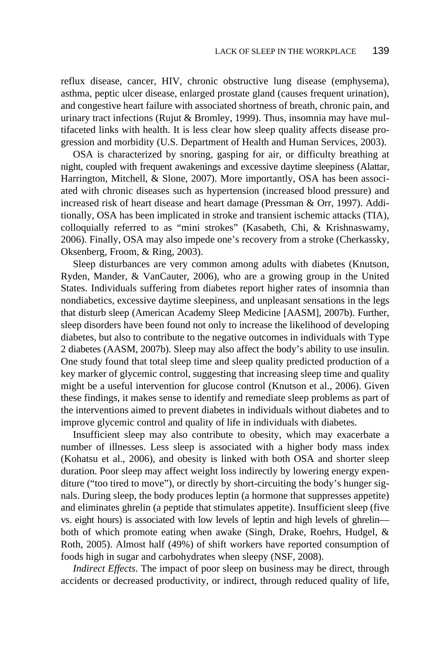reflux disease, cancer, HIV, chronic obstructive lung disease (emphysema), asthma, peptic ulcer disease, enlarged prostate gland (causes frequent urination), and congestive heart failure with associated shortness of breath, chronic pain, and urinary tract infections (Rujut & Bromley, 1999). Thus, insomnia may have multifaceted links with health. It is less clear how sleep quality affects disease progression and morbidity (U.S. Department of Health and Human Services, 2003).

OSA is characterized by snoring, gasping for air, or difficulty breathing at night, coupled with frequent awakenings and excessive daytime sleepiness (Alattar, Harrington, Mitchell, & Slone, 2007). More importantly, OSA has been associated with chronic diseases such as hypertension (increased blood pressure) and increased risk of heart disease and heart damage (Pressman & Orr, 1997). Additionally, OSA has been implicated in stroke and transient ischemic attacks (TIA), colloquially referred to as "mini strokes" (Kasabeth, Chi, & Krishnaswamy, 2006). Finally, OSA may also impede one's recovery from a stroke (Cherkassky, Oksenberg, Froom, & Ring, 2003).

Sleep disturbances are very common among adults with diabetes (Knutson, Ryden, Mander, & VanCauter, 2006), who are a growing group in the United States. Individuals suffering from diabetes report higher rates of insomnia than nondiabetics, excessive daytime sleepiness, and unpleasant sensations in the legs that disturb sleep (American Academy Sleep Medicine [AASM], 2007b). Further, sleep disorders have been found not only to increase the likelihood of developing diabetes, but also to contribute to the negative outcomes in individuals with Type 2 diabetes (AASM, 2007b). Sleep may also affect the body's ability to use insulin. One study found that total sleep time and sleep quality predicted production of a key marker of glycemic control, suggesting that increasing sleep time and quality might be a useful intervention for glucose control (Knutson et al., 2006). Given these findings, it makes sense to identify and remediate sleep problems as part of the interventions aimed to prevent diabetes in individuals without diabetes and to improve glycemic control and quality of life in individuals with diabetes.

Insufficient sleep may also contribute to obesity, which may exacerbate a number of illnesses. Less sleep is associated with a higher body mass index (Kohatsu et al., 2006), and obesity is linked with both OSA and shorter sleep duration. Poor sleep may affect weight loss indirectly by lowering energy expenditure ("too tired to move"), or directly by short-circuiting the body's hunger signals. During sleep, the body produces leptin (a hormone that suppresses appetite) and eliminates ghrelin (a peptide that stimulates appetite). Insufficient sleep (five vs. eight hours) is associated with low levels of leptin and high levels of ghrelin both of which promote eating when awake (Singh, Drake, Roehrs, Hudgel, & Roth, 2005). Almost half (49%) of shift workers have reported consumption of foods high in sugar and carbohydrates when sleepy (NSF, 2008).

*Indirect Effects*. The impact of poor sleep on business may be direct, through accidents or decreased productivity, or indirect, through reduced quality of life,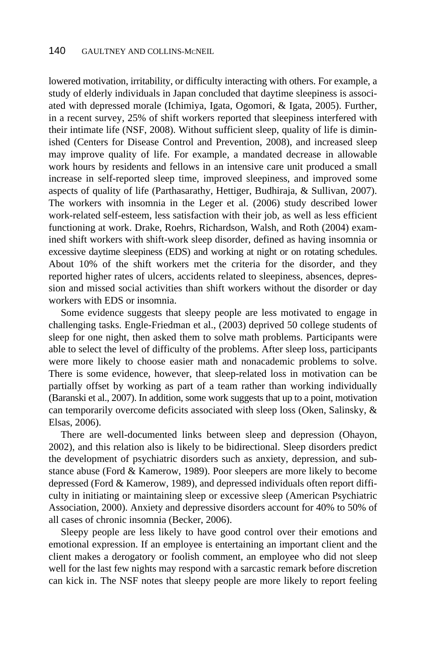lowered motivation, irritability, or difficulty interacting with others. For example, a study of elderly individuals in Japan concluded that daytime sleepiness is associated with depressed morale (Ichimiya, Igata, Ogomori, & Igata, 2005). Further, in a recent survey, 25% of shift workers reported that sleepiness interfered with their intimate life (NSF, 2008). Without sufficient sleep, quality of life is diminished (Centers for Disease Control and Prevention, 2008), and increased sleep may improve quality of life. For example, a mandated decrease in allowable work hours by residents and fellows in an intensive care unit produced a small increase in self-reported sleep time, improved sleepiness, and improved some aspects of quality of life (Parthasarathy, Hettiger, Budhiraja, & Sullivan, 2007). The workers with insomnia in the Leger et al. (2006) study described lower work-related self-esteem, less satisfaction with their job, as well as less efficient functioning at work. Drake, Roehrs, Richardson, Walsh, and Roth (2004) examined shift workers with shift-work sleep disorder, defined as having insomnia or excessive daytime sleepiness (EDS) and working at night or on rotating schedules. About 10% of the shift workers met the criteria for the disorder, and they reported higher rates of ulcers, accidents related to sleepiness, absences, depression and missed social activities than shift workers without the disorder or day workers with EDS or insomnia.

Some evidence suggests that sleepy people are less motivated to engage in challenging tasks. Engle-Friedman et al., (2003) deprived 50 college students of sleep for one night, then asked them to solve math problems. Participants were able to select the level of difficulty of the problems. After sleep loss, participants were more likely to choose easier math and nonacademic problems to solve. There is some evidence, however, that sleep-related loss in motivation can be partially offset by working as part of a team rather than working individually (Baranski et al., 2007). In addition, some work suggests that up to a point, motivation can temporarily overcome deficits associated with sleep loss (Oken, Salinsky, & Elsas, 2006).

There are well-documented links between sleep and depression (Ohayon, 2002), and this relation also is likely to be bidirectional. Sleep disorders predict the development of psychiatric disorders such as anxiety, depression, and substance abuse (Ford & Kamerow, 1989). Poor sleepers are more likely to become depressed (Ford & Kamerow, 1989), and depressed individuals often report difficulty in initiating or maintaining sleep or excessive sleep (American Psychiatric Association, 2000). Anxiety and depressive disorders account for 40% to 50% of all cases of chronic insomnia (Becker, 2006).

Sleepy people are less likely to have good control over their emotions and emotional expression. If an employee is entertaining an important client and the client makes a derogatory or foolish comment, an employee who did not sleep well for the last few nights may respond with a sarcastic remark before discretion can kick in. The NSF notes that sleepy people are more likely to report feeling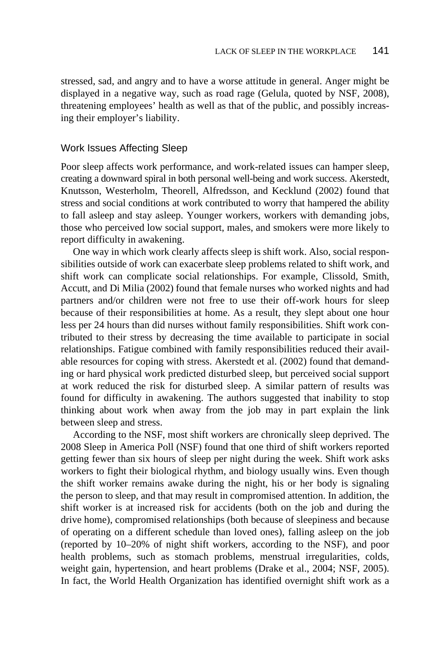stressed, sad, and angry and to have a worse attitude in general. Anger might be displayed in a negative way, such as road rage (Gelula, quoted by NSF, 2008), threatening employees' health as well as that of the public, and possibly increasing their employer's liability.

# Work Issues Affecting Sleep

Poor sleep affects work performance, and work-related issues can hamper sleep, creating a downward spiral in both personal well-being and work success. Akerstedt, Knutsson, Westerholm, Theorell, Alfredsson, and Kecklund (2002) found that stress and social conditions at work contributed to worry that hampered the ability to fall asleep and stay asleep. Younger workers, workers with demanding jobs, those who perceived low social support, males, and smokers were more likely to report difficulty in awakening.

One way in which work clearly affects sleep is shift work. Also, social responsibilities outside of work can exacerbate sleep problems related to shift work, and shift work can complicate social relationships. For example, Clissold, Smith, Accutt, and Di Milia (2002) found that female nurses who worked nights and had partners and/or children were not free to use their off-work hours for sleep because of their responsibilities at home. As a result, they slept about one hour less per 24 hours than did nurses without family responsibilities. Shift work contributed to their stress by decreasing the time available to participate in social relationships. Fatigue combined with family responsibilities reduced their available resources for coping with stress. Akerstedt et al. (2002) found that demanding or hard physical work predicted disturbed sleep, but perceived social support at work reduced the risk for disturbed sleep. A similar pattern of results was found for difficulty in awakening. The authors suggested that inability to stop thinking about work when away from the job may in part explain the link between sleep and stress.

According to the NSF, most shift workers are chronically sleep deprived. The 2008 Sleep in America Poll (NSF) found that one third of shift workers reported getting fewer than six hours of sleep per night during the week. Shift work asks workers to fight their biological rhythm, and biology usually wins. Even though the shift worker remains awake during the night, his or her body is signaling the person to sleep, and that may result in compromised attention. In addition, the shift worker is at increased risk for accidents (both on the job and during the drive home), compromised relationships (both because of sleepiness and because of operating on a different schedule than loved ones), falling asleep on the job (reported by 10–20% of night shift workers, according to the NSF), and poor health problems, such as stomach problems, menstrual irregularities, colds, weight gain, hypertension, and heart problems (Drake et al., 2004; NSF, 2005). In fact, the World Health Organization has identified overnight shift work as a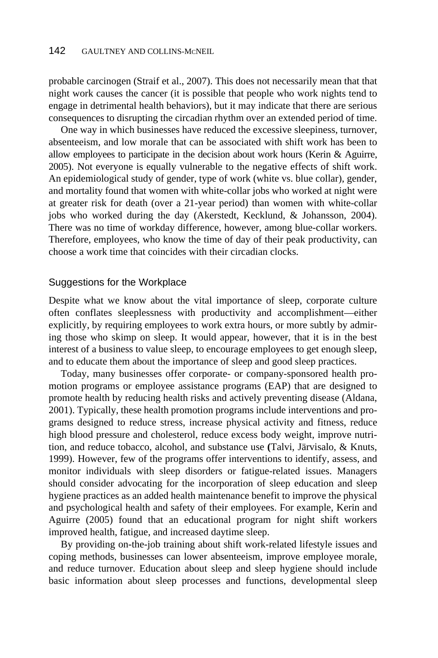probable carcinogen (Straif et al., 2007). This does not necessarily mean that that night work causes the cancer (it is possible that people who work nights tend to engage in detrimental health behaviors), but it may indicate that there are serious consequences to disrupting the circadian rhythm over an extended period of time.

One way in which businesses have reduced the excessive sleepiness, turnover, absenteeism, and low morale that can be associated with shift work has been to allow employees to participate in the decision about work hours (Kerin & Aguirre, 2005). Not everyone is equally vulnerable to the negative effects of shift work. An epidemiological study of gender, type of work (white vs. blue collar), gender, and mortality found that women with white-collar jobs who worked at night were at greater risk for death (over a 21-year period) than women with white-collar jobs who worked during the day (Akerstedt, Kecklund, & Johansson, 2004). There was no time of workday difference, however, among blue-collar workers. Therefore, employees, who know the time of day of their peak productivity, can choose a work time that coincides with their circadian clocks.

# Suggestions for the Workplace

Despite what we know about the vital importance of sleep, corporate culture often conflates sleeplessness with productivity and accomplishment—either explicitly, by requiring employees to work extra hours, or more subtly by admiring those who skimp on sleep. It would appear, however, that it is in the best interest of a business to value sleep, to encourage employees to get enough sleep, and to educate them about the importance of sleep and good sleep practices.

Today, many businesses offer corporate- or company-sponsored health promotion programs or employee assistance programs (EAP) that are designed to promote health by reducing health risks and actively preventing disease (Aldana, 2001). Typically, these health promotion programs include interventions and programs designed to reduce stress, increase physical activity and fitness, reduce high blood pressure and cholesterol, reduce excess body weight, improve nutrition, and reduce tobacco, alcohol, and substance use **(**Talvi, Järvisalo, & Knuts, 1999). However, few of the programs offer interventions to identify, assess, and monitor individuals with sleep disorders or fatigue-related issues. Managers should consider advocating for the incorporation of sleep education and sleep hygiene practices as an added health maintenance benefit to improve the physical and psychological health and safety of their employees. For example, Kerin and Aguirre (2005) found that an educational program for night shift workers improved health, fatigue, and increased daytime sleep.

By providing on-the-job training about shift work-related lifestyle issues and coping methods, businesses can lower absenteeism, improve employee morale, and reduce turnover. Education about sleep and sleep hygiene should include basic information about sleep processes and functions, developmental sleep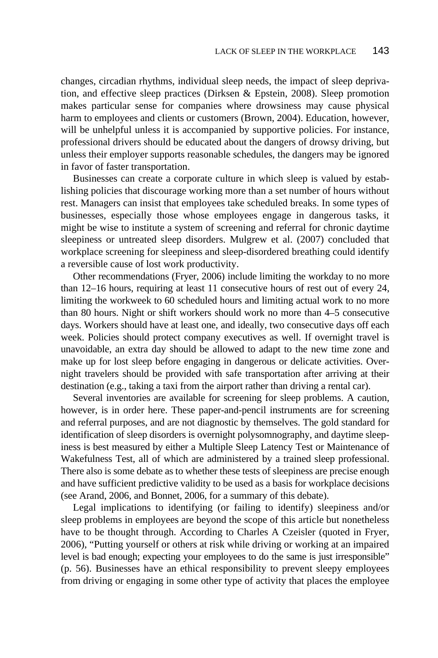changes, circadian rhythms, individual sleep needs, the impact of sleep deprivation, and effective sleep practices (Dirksen & Epstein, 2008). Sleep promotion makes particular sense for companies where drowsiness may cause physical harm to employees and clients or customers (Brown, 2004). Education, however, will be unhelpful unless it is accompanied by supportive policies. For instance, professional drivers should be educated about the dangers of drowsy driving, but unless their employer supports reasonable schedules, the dangers may be ignored in favor of faster transportation.

Businesses can create a corporate culture in which sleep is valued by establishing policies that discourage working more than a set number of hours without rest. Managers can insist that employees take scheduled breaks. In some types of businesses, especially those whose employees engage in dangerous tasks, it might be wise to institute a system of screening and referral for chronic daytime sleepiness or untreated sleep disorders. Mulgrew et al. (2007) concluded that workplace screening for sleepiness and sleep-disordered breathing could identify a reversible cause of lost work productivity.

Other recommendations (Fryer, 2006) include limiting the workday to no more than 12–16 hours, requiring at least 11 consecutive hours of rest out of every 24, limiting the workweek to 60 scheduled hours and limiting actual work to no more than 80 hours. Night or shift workers should work no more than 4–5 consecutive days. Workers should have at least one, and ideally, two consecutive days off each week. Policies should protect company executives as well. If overnight travel is unavoidable, an extra day should be allowed to adapt to the new time zone and make up for lost sleep before engaging in dangerous or delicate activities. Overnight travelers should be provided with safe transportation after arriving at their destination (e.g., taking a taxi from the airport rather than driving a rental car).

Several inventories are available for screening for sleep problems. A caution, however, is in order here. These paper-and-pencil instruments are for screening and referral purposes, and are not diagnostic by themselves. The gold standard for identification of sleep disorders is overnight polysomnography, and daytime sleepiness is best measured by either a Multiple Sleep Latency Test or Maintenance of Wakefulness Test, all of which are administered by a trained sleep professional. There also is some debate as to whether these tests of sleepiness are precise enough and have sufficient predictive validity to be used as a basis for workplace decisions (see Arand, 2006, and Bonnet, 2006, for a summary of this debate).

Legal implications to identifying (or failing to identify) sleepiness and/or sleep problems in employees are beyond the scope of this article but nonetheless have to be thought through. According to Charles A Czeisler (quoted in Fryer, 2006), "Putting yourself or others at risk while driving or working at an impaired level is bad enough; expecting your employees to do the same is just irresponsible" (p. 56). Businesses have an ethical responsibility to prevent sleepy employees from driving or engaging in some other type of activity that places the employee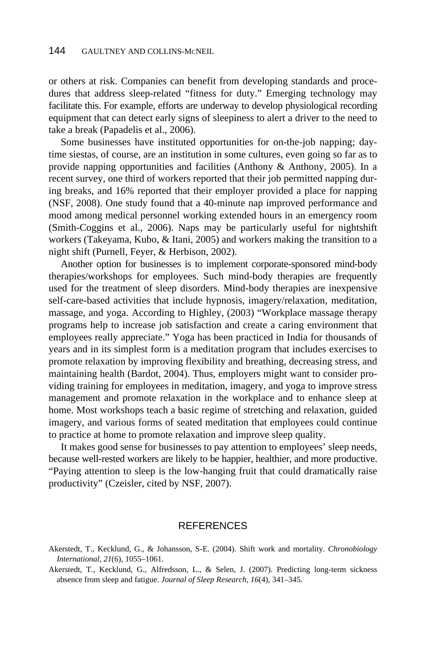or others at risk. Companies can benefit from developing standards and procedures that address sleep-related "fitness for duty." Emerging technology may facilitate this. For example, efforts are underway to develop physiological recording equipment that can detect early signs of sleepiness to alert a driver to the need to take a break (Papadelis et al., 2006).

Some businesses have instituted opportunities for on-the-job napping; daytime siestas, of course, are an institution in some cultures, even going so far as to provide napping opportunities and facilities (Anthony & Anthony, 2005). In a recent survey, one third of workers reported that their job permitted napping during breaks, and 16% reported that their employer provided a place for napping (NSF, 2008). One study found that a 40-minute nap improved performance and mood among medical personnel working extended hours in an emergency room (Smith-Coggins et al., 2006). Naps may be particularly useful for nightshift workers (Takeyama, Kubo, & Itani, 2005) and workers making the transition to a night shift (Purnell, Feyer, & Herbison, 2002).

Another option for businesses is to implement corporate-sponsored mind-body therapies/workshops for employees. Such mind-body therapies are frequently used for the treatment of sleep disorders. Mind-body therapies are inexpensive self-care-based activities that include hypnosis, imagery/relaxation, meditation, massage, and yoga. According to Highley, (2003) "Workplace massage therapy programs help to increase job satisfaction and create a caring environment that employees really appreciate." Yoga has been practiced in India for thousands of years and in its simplest form is a meditation program that includes exercises to promote relaxation by improving flexibility and breathing, decreasing stress, and maintaining health (Bardot, 2004). Thus, employers might want to consider providing training for employees in meditation, imagery, and yoga to improve stress management and promote relaxation in the workplace and to enhance sleep at home. Most workshops teach a basic regime of stretching and relaxation, guided imagery, and various forms of seated meditation that employees could continue to practice at home to promote relaxation and improve sleep quality.

It makes good sense for businesses to pay attention to employees' sleep needs, because well-rested workers are likely to be happier, healthier, and more productive. "Paying attention to sleep is the low-hanging fruit that could dramatically raise productivity" (Czeisler, cited by NSF, 2007).

# **REFERENCES**

Akerstedt, T., Kecklund, G., Alfredsson, L., & Selen, J. (2007). Predicting long-term sickness absence from sleep and fatigue. *Journal of Sleep Research*, *16*(4), 341–345.

Akerstedt, T., Kecklund, G., & Johansson, S-E. (2004). Shift work and mortality. *Chronobiology International*, *21*(6), 1055–1061.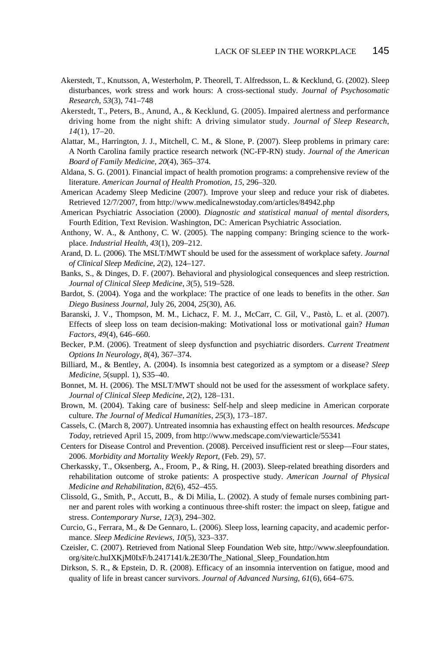- Akerstedt, T., Knutsson, A, Westerholm, P. Theorell, T. Alfredsson, L. & Kecklund, G. (2002). Sleep disturbances, work stress and work hours: A cross-sectional study. *Journal of Psychosomatic Research*, *53*(3), 741–748
- Akerstedt, T., Peters, B., Anund, A., & Kecklund, G. (2005). Impaired alertness and performance driving home from the night shift: A driving simulator study. *Journal of Sleep Research*, *14*(1), 17–20.
- Alattar, M., Harrington, J. J., Mitchell, C. M., & Slone, P. (2007). Sleep problems in primary care: A North Carolina family practice research network (NC-FP-RN) study. *Journal of the American Board of Family Medicine*, *20*(4), 365–374.
- Aldana, S. G. (2001). Financial impact of health promotion programs: a comprehensive review of the literature. *American Journal of Health Promotion*, *15*, 296–320.
- American Academy Sleep Medicine (2007). Improve your sleep and reduce your risk of diabetes. Retrieved 12/7/2007, from http://www.medicalnewstoday.com/articles/84942.php
- American Psychiatric Association (2000). *Diagnostic and statistical manual of mental disorders*, Fourth Edition, Text Revision. Washington, DC: American Psychiatric Association.
- Anthony, W. A., & Anthony, C. W. (2005). The napping company: Bringing science to the workplace. *Industrial Health*, *43*(1), 209–212.
- Arand, D. L. (2006). The MSLT/MWT should be used for the assessment of workplace safety. *Journal of Clinical Sleep Medicine*, *2*(2), 124–127.
- Banks, S., & Dinges, D. F. (2007). Behavioral and physiological consequences and sleep restriction. *Journal of Clinical Sleep Medicine*, *3*(5), 519–528.
- Bardot, S. (2004). Yoga and the workplace: The practice of one leads to benefits in the other. *San Diego Business Journal*, July 26, 2004, *25*(30), A6.
- Baranski, J. V., Thompson, M. M., Lichacz, F. M. J., McCarr, C. Gil, V., Pastò, L. et al. (2007). Effects of sleep loss on team decision-making: Motivational loss or motivational gain? *Human Factors*, *49*(4), 646–660.
- Becker, P.M. (2006). Treatment of sleep dysfunction and psychiatric disorders. *Current Treatment Options In Neurology*, *8*(4), 367–374.
- Billiard, M., & Bentley, A. (2004). Is insomnia best categorized as a symptom or a disease? *Sleep Medicine*, *5*(suppl. 1), S35–40.
- Bonnet, M. H. (2006). The MSLT/MWT should not be used for the assessment of workplace safety. *Journal of Clinical Sleep Medicine*, *2*(2), 128–131.
- Brown, M. (2004). Taking care of business: Self-help and sleep medicine in American corporate culture. *The Journal of Medical Humanities*, *25*(3), 173–187.
- Cassels, C. (March 8, 2007). Untreated insomnia has exhausting effect on health resources. *Medscape Today*, retrieved April 15, 2009, from http://www.medscape.com/viewarticle/55341
- Centers for Disease Control and Prevention. (2008). Perceived insufficient rest or sleep—Four states, 2006. *Morbidity and Mortality Weekly Report,* (Feb. 29), 57.
- Cherkassky, T., Oksenberg, A., Froom, P., & Ring, H. (2003). Sleep-related breathing disorders and rehabilitation outcome of stroke patients: A prospective study. *American Journal of Physical Medicine and Rehabilitation*, *82*(6), 452–455.
- Clissold, G., Smith, P., Accutt, B., & Di Milia, L. (2002). A study of female nurses combining partner and parent roles with working a continuous three-shift roster: the impact on sleep, fatigue and stress. *Contemporary Nurse*, *12*(3), 294–302.
- Curcio, G., Ferrara, M., & De Gennaro, L. (2006). Sleep loss, learning capacity, and academic performance. *Sleep Medicine Reviews*, *10*(5), 323–337.
- Czeisler, C. (2007). Retrieved from National Sleep Foundation Web site, http://www.sleepfoundation. org/site/c.huIXKjM0IxF/b.2417141/k.2E30/The\_National\_Sleep\_Foundation.htm
- Dirkson, S. R., & Epstein, D. R. (2008). Efficacy of an insomnia intervention on fatigue, mood and quality of life in breast cancer survivors. *Journal of Advanced Nursing*, *61*(6), 664–675.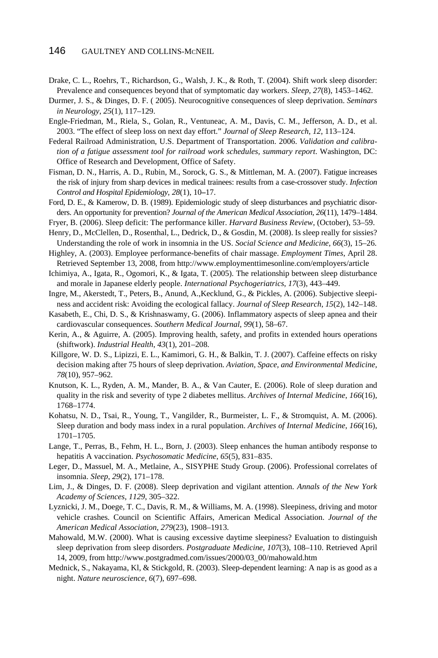- Drake, C. L., Roehrs, T., Richardson, G., Walsh, J. K., & Roth, T. (2004). Shift work sleep disorder: Prevalence and consequences beyond that of symptomatic day workers. *Sleep*, *27*(8), 1453–1462.
- Durmer, J. S., & Dinges, D. F. ( 2005). Neurocognitive consequences of sleep deprivation. *Seminars in Neurology*, *25*(1), 117–129.
- Engle-Friedman, M., Riela, S., Golan, R., Ventuneac, A. M., Davis, C. M., Jefferson, A. D., et al. 2003. "The effect of sleep loss on next day effort." *Journal of Sleep Research*, *12*, 113–124.
- Federal Railroad Administration, U.S. Department of Transportation. 2006. *Validation and calibration of a fatigue assessment tool for railroad work schedules, summary report*. Washington, DC: Office of Research and Development, Office of Safety.
- Fisman, D. N., Harris, A. D., Rubin, M., Sorock, G. S., & Mittleman, M. A. (2007). Fatigue increases the risk of injury from sharp devices in medical trainees: results from a case-crossover study. *Infection Control and Hospital Epidemiology*, *28*(1), 10**–**17.
- Ford, D. E., & Kamerow, D. B. (1989). Epidemiologic study of sleep disturbances and psychiatric disorders. An opportunity for prevention? *Journal of the American Medical Association*, *26*(11), 1479–1484.
- Fryer, B. (2006). Sleep deficit: The performance killer. *Harvard Business Review*, (October), 53–59.
- Henry, D., McClellen, D., Rosenthal, L., Dedrick, D., & Gosdin, M. (2008). Is sleep really for sissies? Understanding the role of work in insomnia in the US. *Social Science and Medicine*, *66*(3), 15–26.
- Highley, A. (2003). Employee performance-benefits of chair massage. *Employment Times*, April 28. Retrieved September 13, 2008, from http://www.employmenttimesonline.com/employers/article
- Ichimiya, A., Igata, R., Ogomori, K., & Igata, T. (2005). The relationship between sleep disturbance and morale in Japanese elderly people. *International Psychogeriatrics*, *17*(3), 443–449.
- Ingre, M., Akerstedt, T., Peters, B., Anund, A.,Kecklund, G., & Pickles, A. (2006). Subjective sleepiness and accident risk: Avoiding the ecological fallacy. *Journal of Sleep Research*, *15*(2), 142–148.
- Kasabeth, E., Chi, D. S., & Krishnaswamy, G. (2006). Inflammatory aspects of sleep apnea and their cardiovascular consequences. *Southern Medical Journal*, *99*(1), 58–67.
- Kerin, A., & Aguirre, A. (2005). Improving health, safety, and profits in extended hours operations (shiftwork). *Industrial Health*, *43*(1), 201–208.
- Killgore, W. D. S., Lipizzi, E. L., Kamimori, G. H., & Balkin, T. J. (2007). Caffeine effects on risky decision making after 75 hours of sleep deprivation. *Aviation, Space, and Environmental Medicine*, *78*(10), 957–962.
- Knutson, K. L., Ryden, A. M., Mander, B. A., & Van Cauter, E. (2006). Role of sleep duration and quality in the risk and severity of type 2 diabetes mellitus. *Archives of Internal Medicine*, *166*(16), 1768–1774.
- Kohatsu, N. D., Tsai, R., Young, T., Vangilder, R., Burmeister, L. F., & Stromquist, A. M. (2006). Sleep duration and body mass index in a rural population. *Archives of Internal Medicine*, *166*(16), 1701–1705.
- Lange, T., Perras, B., Fehm, H. L., Born, J. (2003). Sleep enhances the human antibody response to hepatitis A vaccination. *Psychosomatic Medicine*, *65*(5), 831–835.
- Leger, D., Massuel, M. A., Metlaine, A., SISYPHE Study Group. (2006). Professional correlates of insomnia. *Sleep*, *29*(2), 171–178.
- Lim, J., & Dinges, D. F. (2008). Sleep deprivation and vigilant attention. *Annals of the New York Academy of Sciences*, *1129*, 305–322.
- Lyznicki, J. M., Doege, T. C., Davis, R. M., & Williams, M. A. (1998). Sleepiness, driving and motor vehicle crashes. Council on Scientific Affairs, American Medical Association. *Journal of the American Medical Association*, *279*(23), 1908–1913.
- Mahowald, M.W. (2000). What is causing excessive daytime sleepiness? Evaluation to distinguish sleep deprivation from sleep disorders. *Postgraduate Medicine, 107*(3), 108–110. Retrieved April 14, 2009, from http://www.postgradmed.com/issues/2000/03\_00/mahowald.htm
- Mednick, S., Nakayama, Kl, & Stickgold, R. (2003). Sleep-dependent learning: A nap is as good as a night. *Nature neuroscience*, *6*(7), 697–698.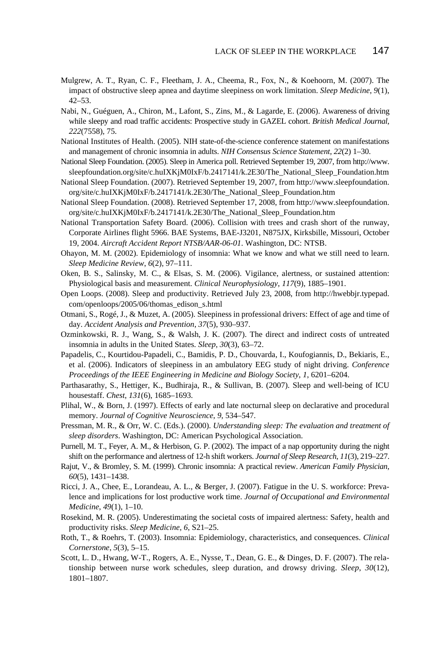- Mulgrew, A. T., Ryan, C. F., Fleetham, J. A., Cheema, R., Fox, N., & Koehoorn, M. (2007). The impact of obstructive sleep apnea and daytime sleepiness on work limitation. *Sleep Medicine*, *9*(1), 42–53.
- Nabi, N., Guéguen, A., Chiron, M., Lafont, S., Zins, M., & Lagarde, E. (2006). Awareness of driving while sleepy and road traffic accidents: Prospective study in GAZEL cohort. *British Medical Journal*, *222*(7558), 75.
- National Institutes of Health. (2005). NIH state-of-the-science conference statement on manifestations and management of chronic insomnia in adults. *NIH Consensus Science Statement*, *22*(2) 1–30.
- National Sleep Foundation. (2005). Sleep in America poll. Retrieved September 19, 2007, from http://www. sleepfoundation.org/site/c.huIXKjM0IxF/b.2417141/k.2E30/The\_National\_Sleep\_Foundation.htm
- National Sleep Foundation. (2007). Retrieved September 19, 2007, from http://www.sleepfoundation. org/site/c.huIXKjM0IxF/b.2417141/k.2E30/The\_National\_Sleep\_Foundation.htm
- National Sleep Foundation. (2008). Retrieved September 17, 2008, from http://www.sleepfoundation. org/site/c.huIXKjM0IxF/b.2417141/k.2E30/The\_National\_Sleep\_Foundation.htm
- National Transportation Safety Board. (2006). Collision with trees and crash short of the runway, Corporate Airlines flight 5966. BAE Systems, BAE-J3201, N875JX, Kirksbille, Missouri, October 19, 2004. *Aircraft Accident Report NTSB/AAR-06-01*. Washington, DC: NTSB.
- Ohayon, M. M. (2002). Epidemiology of insomnia: What we know and what we still need to learn. *Sleep Medicine Review*, *6*(2), 97–111.
- Oken, B. S., Salinsky, M. C., & Elsas, S. M. (2006). Vigilance, alertness, or sustained attention: Physiological basis and measurement. *Clinical Neurophysiology*, *117*(9), 1885–1901.
- Open Loops. (2008). Sleep and productivity. Retrieved July 23, 2008, from http://hwebbjr.typepad. com/openloops/2005/06/thomas\_edison\_s.html
- Otmani, S., Rogé, J., & Muzet, A. (2005). Sleepiness in professional drivers: Effect of age and time of day. *Accident Analysis and Prevention*, *37*(5), 930–937.
- Ozminkowski, R. J., Wang, S., & Walsh, J. K. (2007). The direct and indirect costs of untreated insomnia in adults in the United States. *Sleep*, *30*(3), 63–72.
- Papadelis, C., Kourtidou-Papadeli, C., Bamidis, P. D., Chouvarda, I., Koufogiannis, D., Bekiaris, E., et al. (2006). Indicators of sleepiness in an ambulatory EEG study of night driving. *Conference Proceedings of the IEEE Engineering in Medicine and Biology Society*, *1*, 6201–6204.
- Parthasarathy, S., Hettiger, K., Budhiraja, R., & Sullivan, B. (2007). Sleep and well-being of ICU housestaff. *Chest*, *131*(6), 1685–1693.
- Plihal, W., & Born, J. (1997). Effects of early and late nocturnal sleep on declarative and procedural memory. *Journal of Cognitive Neuroscience*, *9*, 534–547.
- Pressman, M. R., & Orr, W. C. (Eds.). (2000). *Understanding sleep: The evaluation and treatment of sleep disorders*. Washington, DC: American Psychological Association.
- Purnell, M. T., Feyer, A. M., & Herbison, G. P. (2002). The impact of a nap opportunity during the night shift on the performance and alertness of 12-h shift workers. *Journal of Sleep Research*, *11*(3), 219–227.
- Rajut, V., & Bromley, S. M. (1999). Chronic insomnia: A practical review. *American Family Physician*, *60*(5), 1431–1438.
- Ricci, J. A., Chee, E., Lorandeau, A. L., & Berger, J. (2007). Fatigue in the U. S. workforce: Prevalence and implications for lost productive work time. *Journal of Occupational and Environmental Medicine*, *49*(1), 1–10.
- Rosekind, M. R. (2005). Underestimating the societal costs of impaired alertness: Safety, health and productivity risks. *Sleep Medicine*, *6*, S21–25.
- Roth, T., & Roehrs, T. (2003). Insomnia: Epidemiology, characteristics, and consequences. *Clinical Cornerstone*, *5*(3), 5–15.
- Scott, L. D., Hwang, W-T., Rogers, A. E., Nysse, T., Dean, G. E., & Dinges, D. F. (2007). The relationship between nurse work schedules, sleep duration, and drowsy driving. *Sleep*, *30*(12), 1801–1807.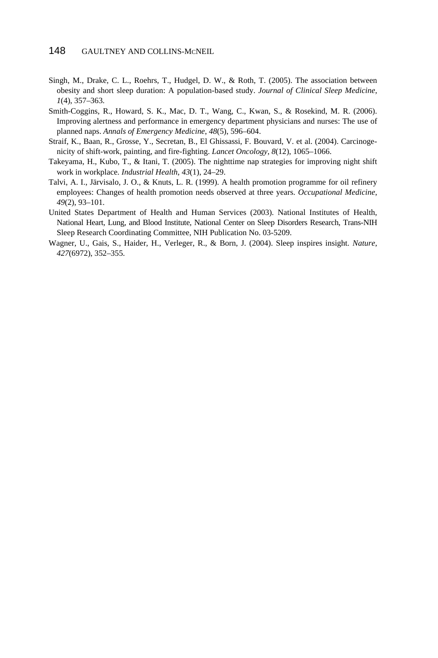- Singh, M., Drake, C. L., Roehrs, T., Hudgel, D. W., & Roth, T. (2005). The association between obesity and short sleep duration: A population-based study. *Journal of Clinical Sleep Medicine*, *1*(4), 357–363.
- Smith-Coggins, R., Howard, S. K., Mac, D. T., Wang, C., Kwan, S., & Rosekind, M. R. (2006). Improving alertness and performance in emergency department physicians and nurses: The use of planned naps. *Annals of Emergency Medicine*, *48*(5), 596–604.
- Straif, K., Baan, R., Grosse, Y., Secretan, B., El Ghissassi, F. Bouvard, V. et al. (2004). Carcinogenicity of shift-work, painting, and fire-fighting. *Lancet Oncology*, *8*(12), 1065–1066.
- Takeyama, H., Kubo, T., & Itani, T. (2005). The nighttime nap strategies for improving night shift work in workplace. *Industrial Health*, *43*(1), 24–29.
- Talvi, A. I., Järvisalo, J. O., & Knuts, L. R. (1999). A health promotion programme for oil refinery employees: Changes of health promotion needs observed at three years. *Occupational Medicine*, *49*(2), 93–101.
- United States Department of Health and Human Services (2003). National Institutes of Health, National Heart, Lung, and Blood Institute, National Center on Sleep Disorders Research, Trans-NIH Sleep Research Coordinating Committee, NIH Publication No. 03-5209.
- Wagner, U., Gais, S., Haider, H., Verleger, R., & Born, J. (2004). Sleep inspires insight. *Nature*, *427*(6972), 352–355.